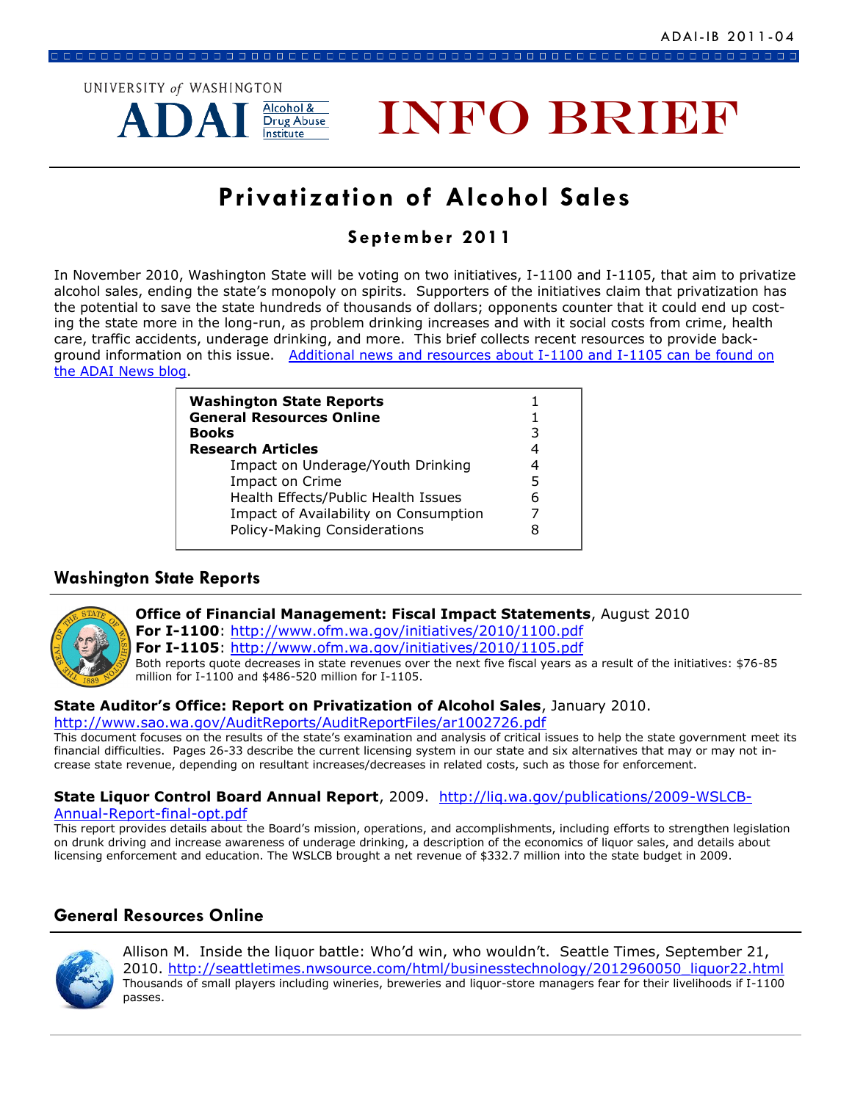

# **INFO BRIEF**

# **Privatization of Alcohol Sales**

# **September 2011**

In November 2010, Washington State will be voting on two initiatives, I-1100 and I-1105, that aim to privatize alcohol sales, ending the state's monopoly on spirits. Supporters of the initiatives claim that privatization has the potential to save the state hundreds of thousands of dollars; opponents counter that it could end up costing the state more in the long-run, as problem drinking increases and with it social costs from crime, health care, traffic accidents, underage drinking, and more. This brief collects recent resources to provide background information on this issue. Additional news and resources about I-1100 and I-1105 can be found on [the ADAI News blog.](http://adai.typepad.com/adai_news/i-1100-and-i-1105/)

| <b>Washington State Reports</b><br><b>General Resources Online</b><br><b>Books</b><br><b>Research Articles</b>                                                              | 3<br>4           |
|-----------------------------------------------------------------------------------------------------------------------------------------------------------------------------|------------------|
| Impact on Underage/Youth Drinking<br><b>Impact on Crime</b><br>Health Effects/Public Health Issues<br>Impact of Availability on Consumption<br>Policy-Making Considerations | 4<br>5<br>6<br>8 |

# **Washington State Reports**



**Office of Financial Management: Fiscal Impact Statements**, August 2010

**For I-1100**: <http://www.ofm.wa.gov/initiatives/2010/1100.pdf>

**For I-1105**: <http://www.ofm.wa.gov/initiatives/2010/1105.pdf>

Both reports quote decreases in state revenues over the next five fiscal years as a result of the initiatives: \$76-85 million for I-1100 and \$486-520 million for I-1105.

# **State Auditor's Office: Report on Privatization of Alcohol Sales**, January 2010.

<http://www.sao.wa.gov/AuditReports/AuditReportFiles/ar1002726.pdf>

This document focuses on the results of the state's examination and analysis of critical issues to help the state government meet its financial difficulties. Pages 26-33 describe the current licensing system in our state and six alternatives that may or may not increase state revenue, depending on resultant increases/decreases in related costs, such as those for enforcement.

# **State Liquor Control Board Annual Report**, 2009. [http://liq.wa.gov/publications/2009-WSLCB-](http://liq.wa.gov/publications/2009-WSLCB-Annual-Report-final-opt.pdf)

#### [Annual-Report-final-opt.pdf](http://liq.wa.gov/publications/2009-WSLCB-Annual-Report-final-opt.pdf)

This report provides details about the Board's mission, operations, and accomplishments, including efforts to strengthen legislation on drunk driving and increase awareness of underage drinking, a description of the economics of liquor sales, and details about licensing enforcement and education. The WSLCB brought a net revenue of \$332.7 million into the state budget in 2009.

# **General Resources Online**



Allison M. Inside the liquor battle: Who'd win, who wouldn't. Seattle Times, September 21, 2010. [http://seattletimes.nwsource.com/html/businesstechnology/2012960050\\_liquor22.html](http://seattletimes.nwsource.com/html/businesstechnology/2012960050_liquor22.html) Thousands of small players including wineries, breweries and liquor-store managers fear for their livelihoods if I-1100 passes.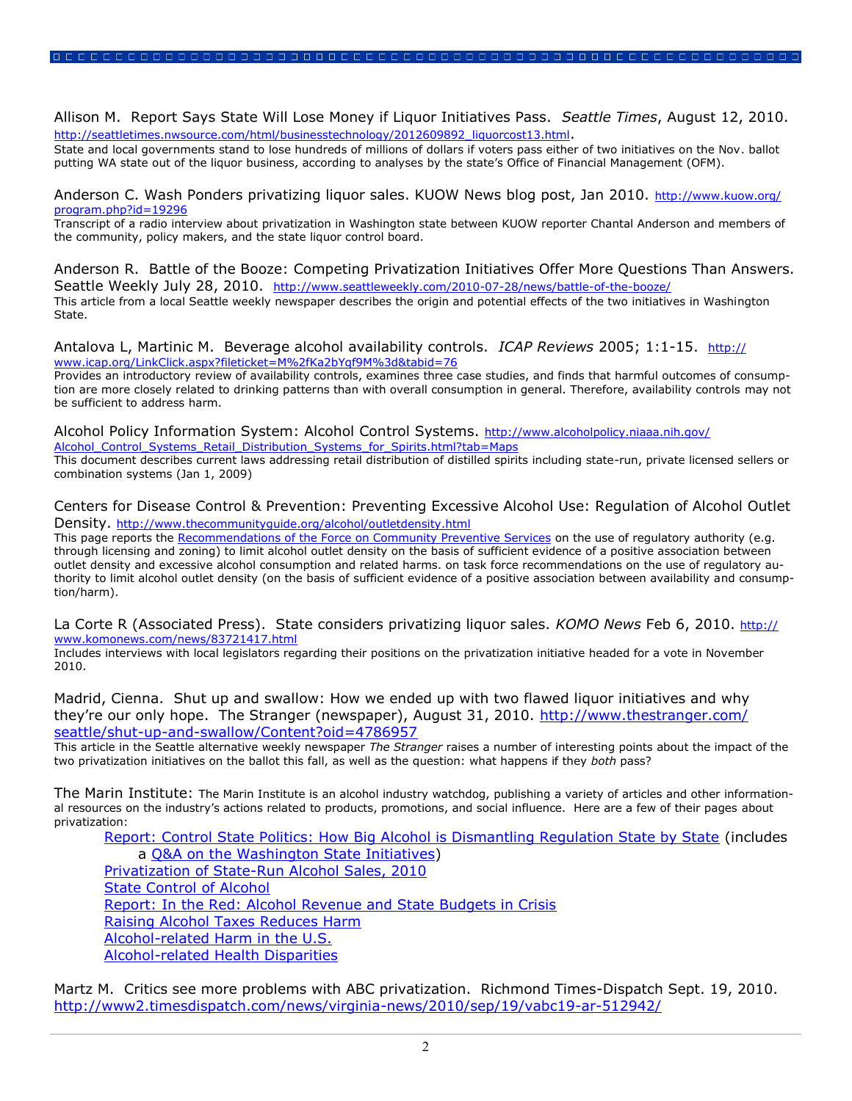Allison M. Report Says State Will Lose Money if Liquor Initiatives Pass. *Seattle Times*, August 12, 2010. [http://seattletimes.nwsource.com/html/businesstechnology/2012609892\\_liquorcost13.html](http://seattletimes.nwsource.com/html/businesstechnology/2012609892_liquorcost13.html).

State and local governments stand to lose hundreds of millions of dollars if voters pass either of two initiatives on the Nov. ballot putting WA state out of the liquor business, according to analyses by the state's Office of Financial Management (OFM).

Anderson C. Wash Ponders privatizing liguor sales. KUOW News blog post, Jan 2010. [http://www.kuow.org/](http://www.kuow.org/program.php?id=19296) [program.php?id=19296](http://www.kuow.org/program.php?id=19296)

Transcript of a radio interview about privatization in Washington state between KUOW reporter Chantal Anderson and members of the community, policy makers, and the state liquor control board.

Anderson R. Battle of the Booze: Competing Privatization Initiatives Offer More Questions Than Answers. Seattle Weekly July 28, 2010. <http://www.seattleweekly.com/2010-07-28/news/battle-of-the-booze/> This article from a local Seattle weekly newspaper describes the origin and potential effects of the two initiatives in Washington State.

Antalova L, Martinic M. Beverage alcohol availability controls. *ICAP Reviews* 2005; 1:1-15. [http://](http://www.icap.org/LinkClick.aspx?fileticket=M%2fKa2bYqf9M%3d&tabid=76) [www.icap.org/LinkClick.aspx?fileticket=M%2fKa2bYqf9M%3d&tabid=76](http://www.icap.org/LinkClick.aspx?fileticket=M%2fKa2bYqf9M%3d&tabid=76)

Provides an introductory review of availability controls, examines three case studies, and finds that harmful outcomes of consumption are more closely related to drinking patterns than with overall consumption in general. Therefore, availability controls may not be sufficient to address harm.

Alcohol Policy Information System: Alcohol Control Systems. [http://www.alcoholpolicy.niaaa.nih.gov/](http://www.alcoholpolicy.niaaa.nih.gov/Alcohol_Control_Systems_Retail_Distribution_Systems_for_Spirits.html?tab=Maps) Alcohol Control Systems Retail Distribution Systems for Spirits.html?tab=Maps This document describes current laws addressing retail distribution of distilled spirits including state-run, private licensed sellers or combination systems (Jan 1, 2009)

Centers for Disease Control & Prevention: Preventing Excessive Alcohol Use: Regulation of Alcohol Outlet Density. <http://www.thecommunityguide.org/alcohol/outletdensity.html>

This page reports the [Recommendations of the Force on Community Preventive Services](http://www.thecommunityguide.org/about/methods.html#categories) on the use of regulatory authority (e.g. through licensing and zoning) to limit alcohol outlet density on the basis of sufficient evidence of a positive association between outlet density and excessive alcohol consumption and related harms. on task force recommendations on the use of regulatory authority to limit alcohol outlet density (on the basis of sufficient evidence of a positive association between availability and consumption/harm).

La Corte R (Associated Press). State considers privatizing liquor sales. *KOMO News* Feb 6, 2010. [http://](http://www.komonews.com/news/83721417.html) [www.komonews.com/news/83721417.html](http://www.komonews.com/news/83721417.html)

Includes interviews with local legislators regarding their positions on the privatization initiative headed for a vote in November 2010.

Madrid, Cienna. Shut up and swallow: How we ended up with two flawed liquor initiatives and why they're our only hope. The Stranger (newspaper), August 31, 2010. [http://www.thestranger.com/](http://www.thestranger.com/seattle/shut-up-and-swallow/Content?oid=4786957) [seattle/shut-up-and-swallow/Content?oid=4786957](http://www.thestranger.com/seattle/shut-up-and-swallow/Content?oid=4786957)

This article in the Seattle alternative weekly newspaper *The Stranger* raises a number of interesting points about the impact of the two privatization initiatives on the ballot this fall, as well as the question: what happens if they *both* pass?

The Marin Institute: The Marin Institute is an alcohol industry watchdog, publishing a variety of articles and other informational resources on the industry's actions related to products, promotions, and social influence. Here are a few of their pages about privatization:

[Report: Control State Politics: How Big Alcohol is Dismantling Regulation State by State](http://www.marininstitute.org/site/index.php?option=com_content&view=article&id=546&Itemid=15) (includes a [Q&A on the Washington State Initiatives\)](https://www.marininstitute.org/site/images/stories/pdfs/wash_qna_1100_1105.pdf) [Privatization of State-Run Alcohol Sales, 2010](https://www.marininstitute.org/site/images/stories/pdfs/privatization_talking_points.pdf) [State Control of Alcohol](https://www.marininstitute.org/site/images/stories/pdfs/controlstates_factsheet.pdf) [Report: In the Red: Alcohol Revenue and State Budgets in Crisis](http://www.marininstitute.org/site/resources/reports/431-report-in-the-red-alcohol-revenue-and-state-budgets-in-crisis.html) [Raising Alcohol Taxes Reduces Harm](https://www.marininstitute.org/site/images/stories/pdfs/raising_taxes_reduces_harm.pdf) [Alcohol-related Harm in the U.S.](https://www.marininstitute.org/site/images/stories/pdfs/alcohol_harm.pdf) [Alcohol-related Health Disparities](https://www.marininstitute.org/site/images/stories/pdfs/health_disparities.pdf)

Martz M. Critics see more problems with ABC privatization. Richmond Times-Dispatch Sept. 19, 2010. <http://www2.timesdispatch.com/news/virginia-news/2010/sep/19/vabc19-ar-512942/>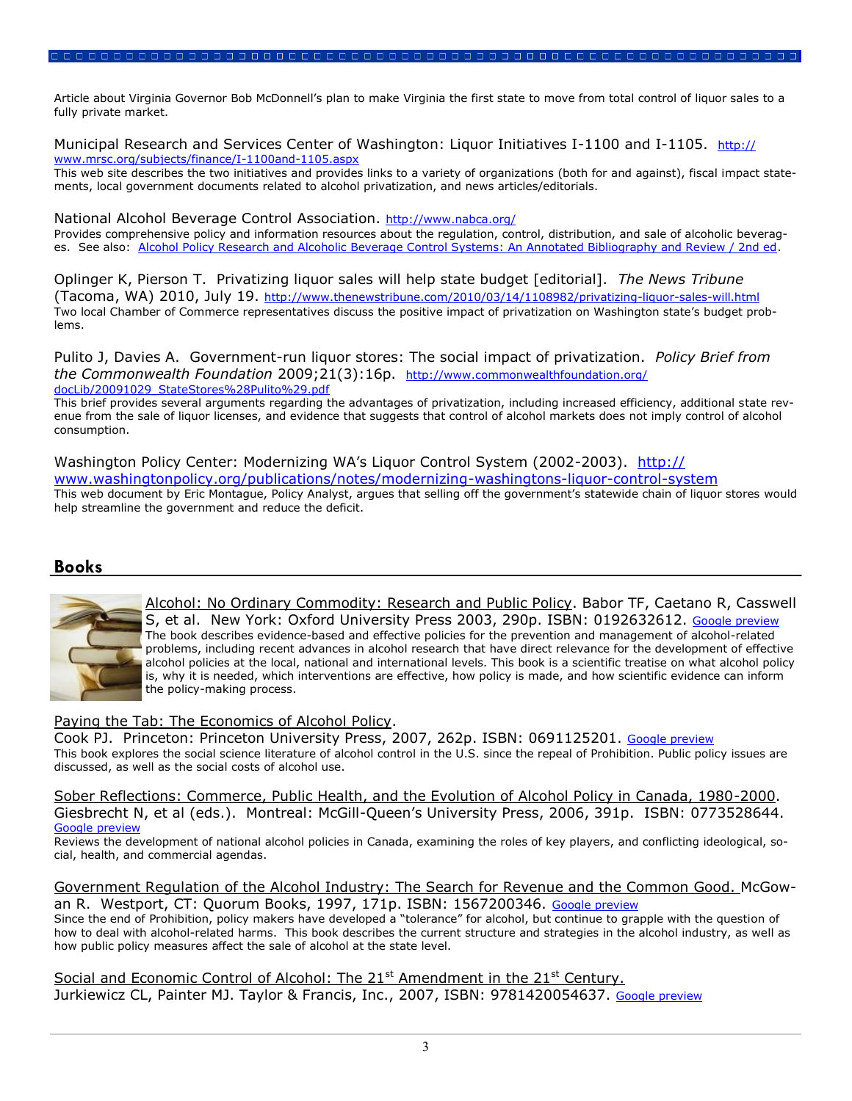Article about Virginia Governor Bob McDonnell's plan to make Virginia the first state to move from total control of liquor sales to a fully private market.

Municipal Research and Services Center of Washington: Liguor Initiatives I-1100 and I-1105. [http://](http://www.mrsc.org/subjects/finance/I-1100and-1105.aspx) [www.mrsc.org/subjects/finance/I-1100and-1105.aspx](http://www.mrsc.org/subjects/finance/I-1100and-1105.aspx)

This web site describes the two initiatives and provides links to a variety of organizations (both for and against), fiscal impact statements, local government documents related to alcohol privatization, and news articles/editorials.

National Alcohol Beverage Control Association. <http://www.nabca.org/>

Provides comprehensive policy and information resources about the regulation, control, distribution, and sale of alcoholic beverages. See also: [Alcohol Policy Research and Alcoholic Beverage Control Systems: An Annotated Bibliography and Review / 2nd ed.](http://www.nabca.org/Resources/Files/2009_WEB_AB2.pdf)

Oplinger K, Pierson T. Privatizing liquor sales will help state budget [editorial]. *The News Tribune*  (Tacoma, WA) 2010, July 19. <http://www.thenewstribune.com/2010/03/14/1108982/privatizing-liquor-sales-will.html> Two local Chamber of Commerce representatives discuss the positive impact of privatization on Washington state's budget problems.

Pulito J, Davies A. Government-run liquor stores: The social impact of privatization. *Policy Brief from the Commonwealth Foundation* 2009;21(3):16p. [http://www.commonwealthfoundation.org/](http://www.commonwealthfoundation.org/docLib/20091029_StateStores%28Pulito%29.pdf) [docLib/20091029\\_StateStores%28Pulito%29.pdf](http://www.commonwealthfoundation.org/docLib/20091029_StateStores%28Pulito%29.pdf)

This brief provides several arguments regarding the advantages of privatization, including increased efficiency, additional state revenue from the sale of liquor licenses, and evidence that suggests that control of alcohol markets does not imply control of alcohol consumption.

Washington Policy Center: Modernizing WA's Liquor Control System (2002-2003). [http://](http://www.washingtonpolicy.org/publications/notes/modernizing-washingtons-liquor-control-system) [www.washingtonpolicy.org/publications/notes/modernizing-washingtons-liquor-control-system](http://www.washingtonpolicy.org/publications/notes/modernizing-washingtons-liquor-control-system) This web document by Eric Montague, Policy Analyst, argues that selling off the government's statewide chain of liquor stores would help streamline the government and reduce the deficit.

#### **Books**



Alcohol: No Ordinary Commodity: Research and Public Policy. Babor TF, Caetano R, Casswell S, et al. New York: Oxford University Press 2003, 290p. ISBN: 0192632612. [Google preview](http://books.google.com/books?id=mYiWQgAACAAJ&dq=0192632612&hl=en&ei=G7xETIi9CZCcsQOk4u3wDA&sa=X&oi=book_result&ct=result&resnum=1&ved=0CCoQ6AEwAA) The book describes evidence-based and effective policies for the prevention and management of alcohol-related problems, including recent advances in alcohol research that have direct relevance for the development of effective alcohol policies at the local, national and international levels. This book is a scientific treatise on what alcohol policy is, why it is needed, which interventions are effective, how policy is made, and how scientific evidence can inform the policy-making process.

#### Paying the Tab: The Economics of Alcohol Policy.

Cook PJ. Princeton: Princeton University Press, 2007, 262p. ISBN: 0691125201. [Google preview](http://books.google.com/books?id=L8zquHBTyf4C&printsec=frontcover&dq=0691125201&hl=en&ei=M7xETPb0F46ksQOolozqDA&sa=X&oi=book_result&ct=result&resnum=1&ved=0CCsQ6AEwAA) This book explores the social science literature of alcohol control in the U.S. since the repeal of Prohibition. Public policy issues are discussed, as well as the social costs of alcohol use.

Sober Reflections: Commerce, Public Health, and the Evolution of Alcohol Policy in Canada, 1980-2000. Giesbrecht N, et al (eds.). Montreal: McGill-Queen's University Press, 2006, 391p. ISBN: 0773528644. [Google preview](http://books.google.com/books?id=vXt6PAAACAAJ&dq=0773528644&hl=en&ei=S7xETMz1N4OisQO2mKWJDA&sa=X&oi=book_result&ct=result&resnum=1&ved=0CCgQ6AEwAA)

Reviews the development of national alcohol policies in Canada, examining the roles of key players, and conflicting ideological, social, health, and commercial agendas.

Government Regulation of the Alcohol Industry: The Search for Revenue and the Common Good. McGowan R. Westport, CT: Quorum Books, 1997, 171p. ISBN: 1567200346. [Google preview](http://books.google.com/books?id=vwIBrSD9cVYC&printsec=frontcover&dq=1567200346&hl=en&ei=X7xETJvkJoi-sQPJzvSWDA&sa=X&oi=book_result&ct=result&resnum=1&ved=0CCoQ6AEwAA)

Since the end of Prohibition, policy makers have developed a "tolerance" for alcohol, but continue to grapple with the question of how to deal with alcohol-related harms. This book describes the current structure and strategies in the alcohol industry, as well as how public policy measures affect the sale of alcohol at the state level.

Social and Economic Control of Alcohol: The 21<sup>st</sup> Amendment in the 21<sup>st</sup> Century. Jurkiewicz CL, Painter MJ. Taylor & Francis, Inc., 2007, ISBN: 9781420054637. [Google preview](http://books.google.com/books?id=glbBW4bN-P0C&printsec=frontcover&dq=9781420054637&hl=en&ei=c7xETPsJiPazA57nwJUM&sa=X&oi=book_result&ct=result&resnum=1&ved=0CCoQ6AEwAA)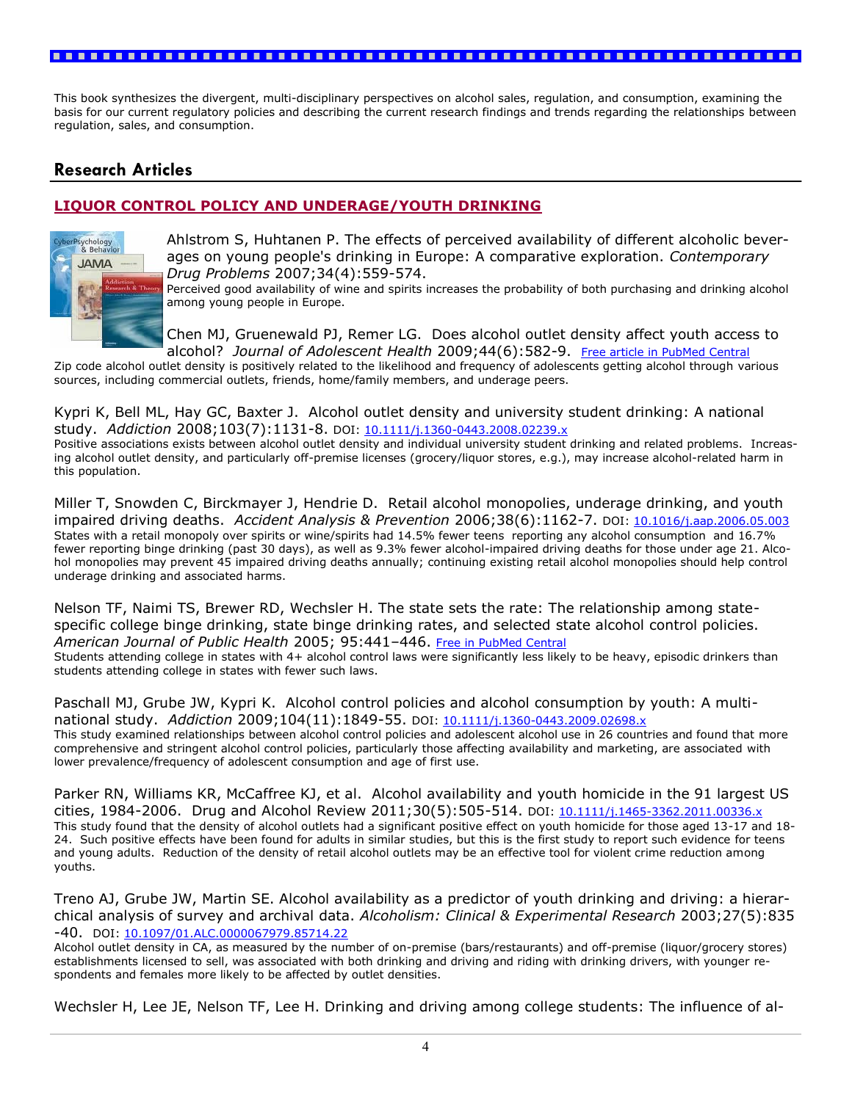This book synthesizes the divergent, multi-disciplinary perspectives on alcohol sales, regulation, and consumption, examining the basis for our current regulatory policies and describing the current research findings and trends regarding the relationships between regulation, sales, and consumption.

# **Research Articles**

### **LIQUOR CONTROL POLICY AND UNDERAGE/YOUTH DRINKING**



Ahlstrom S, Huhtanen P. The effects of perceived availability of different alcoholic beverages on young people's drinking in Europe: A comparative exploration. *Contemporary Drug Problems* 2007;34(4):559-574.

Perceived good availability of wine and spirits increases the probability of both purchasing and drinking alcohol among young people in Europe.

Chen MJ, Gruenewald PJ, Remer LG. Does alcohol outlet density affect youth access to alcohol? *Journal of Adolescent Health* 2009;44(6):582-9. [Free article in PubMed Central](http://www.ncbi.nlm.nih.gov/pmc/articles/PMC2736854)

Zip code alcohol outlet density is positively related to the likelihood and frequency of adolescents getting alcohol through various sources, including commercial outlets, friends, home/family members, and underage peers.

Kypri K, Bell ML, Hay GC, Baxter J. Alcohol outlet density and university student drinking: A national study. *Addiction* 2008;103(7):1131-8. DOI: [10.1111/j.1360-0443.2008.02239.x](http://dx.doi.org/10.1111/j.1360-0443.2008.02239.x) Positive associations exists between alcohol outlet density and individual university student drinking and related problems. Increasing alcohol outlet density, and particularly off-premise licenses (grocery/liquor stores, e.g.), may increase alcohol-related harm in this population.

Miller T, Snowden C, Birckmayer J, Hendrie D. Retail alcohol monopolies, underage drinking, and youth impaired driving deaths. *Accident Analysis & Prevention* 2006;38(6):1162-7. DOI: [10.1016/j.aap.2006.05.003](http://dx.doi.org/10.1016/j.aap.2006.05.003) States with a retail monopoly over spirits or wine/spirits had 14.5% fewer teens reporting any alcohol consumption and 16.7% fewer reporting binge drinking (past 30 days), as well as 9.3% fewer alcohol-impaired driving deaths for those under age 21. Alcohol monopolies may prevent 45 impaired driving deaths annually; continuing existing retail alcohol monopolies should help control underage drinking and associated harms.

Nelson TF, Naimi TS, Brewer RD, Wechsler H. The state sets the rate: The relationship among statespecific college binge drinking, state binge drinking rates, and selected state alcohol control policies. *American Journal of Public Health* 2005; 95:441–446. [Free in PubMed Central](http://www.pubmedcentral.nih.gov/articlerender.fcgi?tool=pubmed&pubmedid=15727974)

Students attending college in states with 4+ alcohol control laws were significantly less likely to be heavy, episodic drinkers than students attending college in states with fewer such laws.

Paschall MJ, Grube JW, Kypri K. Alcohol control policies and alcohol consumption by youth: A multinational study. *Addiction* 2009;104(11):1849-55. DOI: [10.1111/j.1360-0443.2009.02698.x](http://dx.doi.org/10.1111/j.1360-0443.2009.02698.x) This study examined relationships between alcohol control policies and adolescent alcohol use in 26 countries and found that more comprehensive and stringent alcohol control policies, particularly those affecting availability and marketing, are associated with lower prevalence/frequency of adolescent consumption and age of first use.

Parker RN, Williams KR, McCaffree KJ, et al. Alcohol availability and youth homicide in the 91 largest US cities, 1984-2006. Drug and Alcohol Review 2011;30(5):505-514. DOI: [10.1111/j.1465-3362.2011.00336.x](http://dx.doi.org/10.1111/j.1465-3362.2011.00336.x) This study found that the density of alcohol outlets had a significant positive effect on youth homicide for those aged 13-17 and 18- 24. Such positive effects have been found for adults in similar studies, but this is the first study to report such evidence for teens and young adults. Reduction of the density of retail alcohol outlets may be an effective tool for violent crime reduction among youths.

Treno AJ, Grube JW, Martin SE. Alcohol availability as a predictor of youth drinking and driving: a hierarchical analysis of survey and archival data. *Alcoholism: Clinical & Experimental Research* 2003;27(5):835 -40. DOI: [10.1097/01.ALC.0000067979.85714.22](http://dx.doi.org/10.1097/01.ALC.0000067979.85714.22)

Alcohol outlet density in CA, as measured by the number of on-premise (bars/restaurants) and off-premise (liquor/grocery stores) establishments licensed to sell, was associated with both drinking and driving and riding with drinking drivers, with younger respondents and females more likely to be affected by outlet densities.

Wechsler H, Lee JE, Nelson TF, Lee H. Drinking and driving among college students: The influence of al-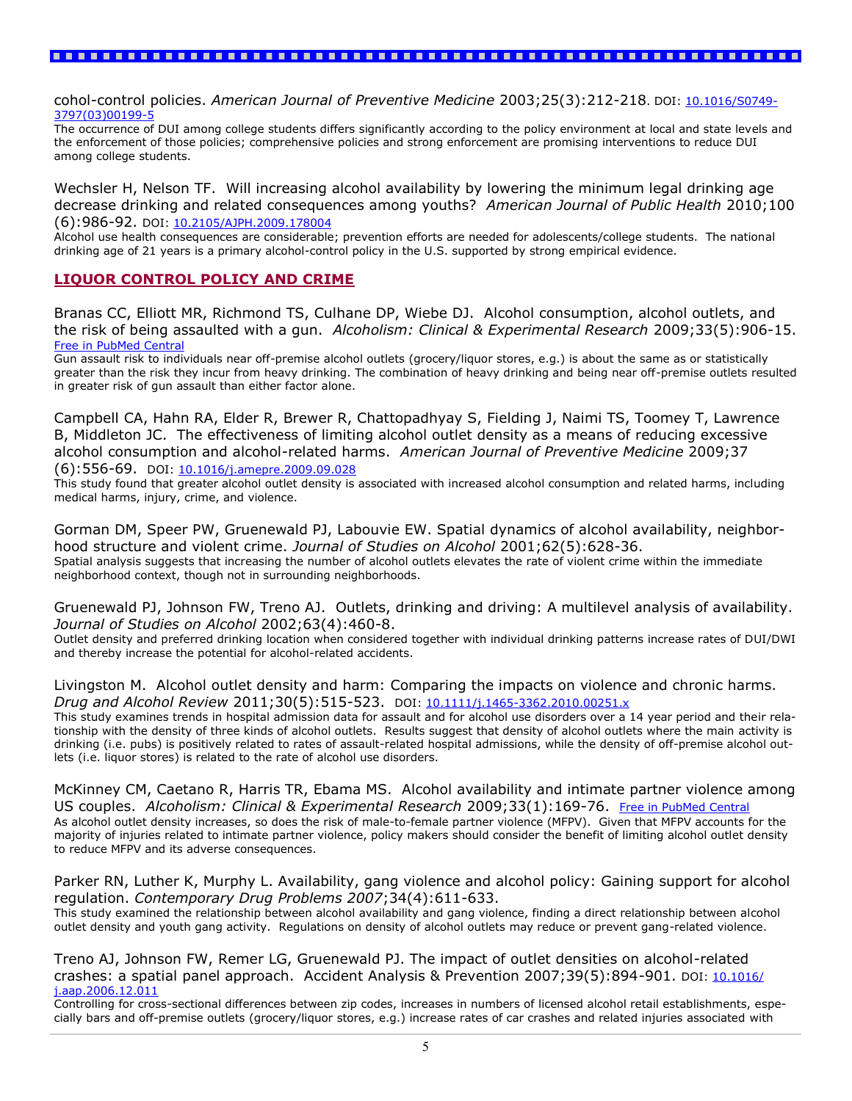cohol-control policies. *American Journal of Preventive Medicine* 2003;25(3):212-218. DOI: [10.1016/S0749-](http://dx.doi.org/10.1016/S0749-3797%2803%2900199-5) [3797\(03\)00199-5](http://dx.doi.org/10.1016/S0749-3797%2803%2900199-5)

The occurrence of DUI among college students differs significantly according to the policy environment at local and state levels and the enforcement of those policies; comprehensive policies and strong enforcement are promising interventions to reduce DUI among college students.

Wechsler H, Nelson TF. Will increasing alcohol availability by lowering the minimum legal drinking age decrease drinking and related consequences among youths? *American Journal of Public Health* 2010;100 (6):986-92. DOI: [10.2105/AJPH.2009.178004](http://dx.doi.org/10.2105/AJPH.2009.178004)

Alcohol use health consequences are considerable; prevention efforts are needed for adolescents/college students. The national drinking age of 21 years is a primary alcohol-control policy in the U.S. supported by strong empirical evidence.

#### **LIQUOR CONTROL POLICY AND CRIME**

Branas CC, Elliott MR, Richmond TS, Culhane DP, Wiebe DJ. Alcohol consumption, alcohol outlets, and the risk of being assaulted with a gun. *Alcoholism: Clinical & Experimental Research* 2009;33(5):906-15. [Free in PubMed Central](http://www.ncbi.nlm.nih.gov/pmc/articles/PMC2831052/?tool=pubmed)

Gun assault risk to individuals near off-premise alcohol outlets (grocery/liquor stores, e.g.) is about the same as or statistically greater than the risk they incur from heavy drinking. The combination of heavy drinking and being near off-premise outlets resulted in greater risk of gun assault than either factor alone.

Campbell CA, Hahn RA, Elder R, Brewer R, Chattopadhyay S, Fielding J, Naimi TS, Toomey T, Lawrence B, Middleton JC. The effectiveness of limiting alcohol outlet density as a means of reducing excessive alcohol consumption and alcohol-related harms. *American Journal of Preventive Medicine* 2009;37 (6):556-69. DOI: [10.1016/j.amepre.2009.09.028](http://dx.doi.org/10.1016/j.amepre.2009.09.028)

This study found that greater alcohol outlet density is associated with increased alcohol consumption and related harms, including medical harms, injury, crime, and violence.

Gorman DM, Speer PW, Gruenewald PJ, Labouvie EW. Spatial dynamics of alcohol availability, neighborhood structure and violent crime. *Journal of Studies on Alcohol* 2001;62(5):628-36. Spatial analysis suggests that increasing the number of alcohol outlets elevates the rate of violent crime within the immediate neighborhood context, though not in surrounding neighborhoods.

Gruenewald PJ, Johnson FW, Treno AJ. Outlets, drinking and driving: A multilevel analysis of availability. *Journal of Studies on Alcohol* 2002;63(4):460-8.

Outlet density and preferred drinking location when considered together with individual drinking patterns increase rates of DUI/DWI and thereby increase the potential for alcohol-related accidents.

Livingston M. Alcohol outlet density and harm: Comparing the impacts on violence and chronic harms. *Drug and Alcohol Review* 2011;30(5):515-523. DOI: [10.1111/j.1465-3362.2010.00251.x](http://dx.doi.org/10.1111/j.1465-3362.2010.00251.x)

This study examines trends in hospital admission data for assault and for alcohol use disorders over a 14 year period and their relationship with the density of three kinds of alcohol outlets. Results suggest that density of alcohol outlets where the main activity is drinking (i.e. pubs) is positively related to rates of assault-related hospital admissions, while the density of off-premise alcohol outlets (i.e. liquor stores) is related to the rate of alcohol use disorders.

McKinney CM, Caetano R, Harris TR, Ebama MS. Alcohol availability and intimate partner violence among US couples. *Alcoholism: Clinical & Experimental Research* 2009;33(1):169-76. [Free in PubMed Central](http://www.ncbi.nlm.nih.gov/corehtml/query/egifs/http:--www.pubmedcentral.nih.gov-corehtml-pmc-pmcgifs-pubmed-pmc-MS.gif) As alcohol outlet density increases, so does the risk of male-to-female partner violence (MFPV). Given that MFPV accounts for the majority of injuries related to intimate partner violence, policy makers should consider the benefit of limiting alcohol outlet density to reduce MFPV and its adverse consequences.

Parker RN, Luther K, Murphy L. Availability, gang violence and alcohol policy: Gaining support for alcohol regulation. *Contemporary Drug Problems 2007*;34(4):611-633.

This study examined the relationship between alcohol availability and gang violence, finding a direct relationship between alcohol outlet density and youth gang activity. Regulations on density of alcohol outlets may reduce or prevent gang-related violence.

Treno AJ, Johnson FW, Remer LG, Gruenewald PJ. The impact of outlet densities on alcohol-related crashes: a spatial panel approach. Accident Analysis & Prevention 2007;39(5):894-901. DOI: [10.1016/](http://dx.doi.org/10.1016/j.aap.2006.12.011) [j.aap.2006.12.011](http://dx.doi.org/10.1016/j.aap.2006.12.011)

Controlling for cross-sectional differences between zip codes, increases in numbers of licensed alcohol retail establishments, especially bars and off-premise outlets (grocery/liquor stores, e.g.) increase rates of car crashes and related injuries associated with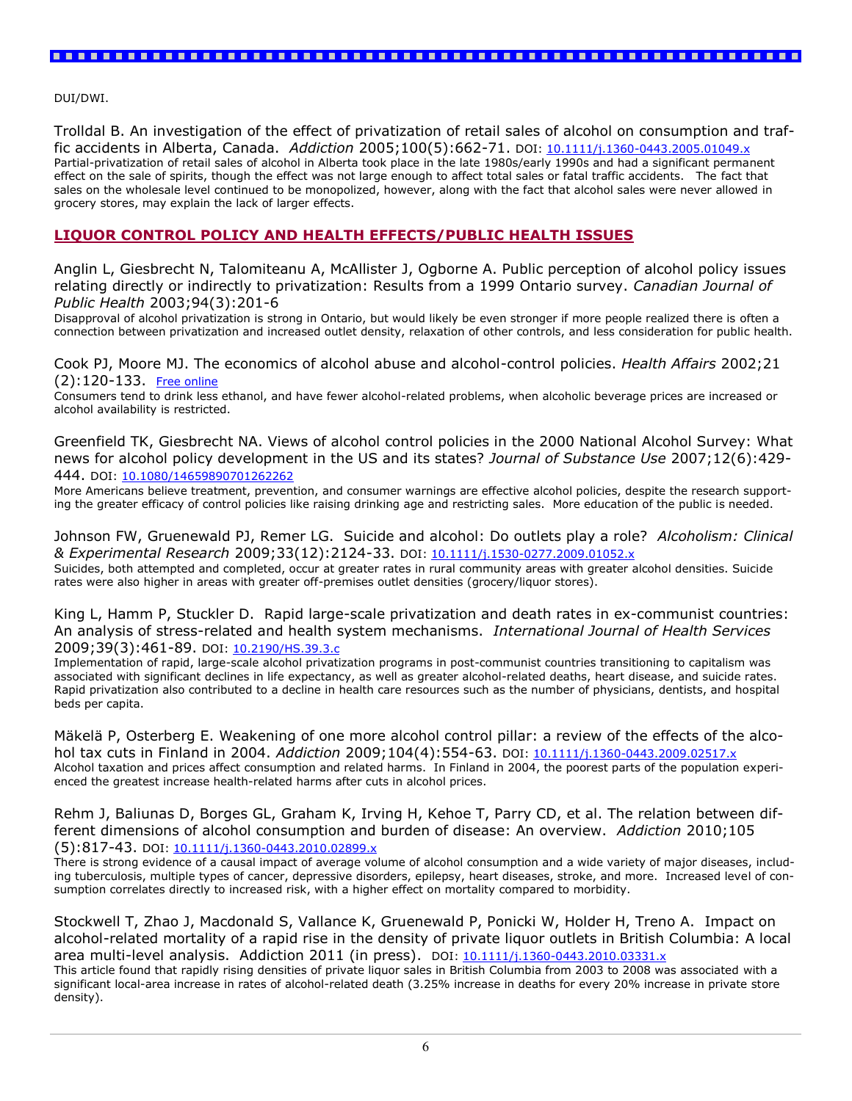DUI/DWI.

Trolldal B. An investigation of the effect of privatization of retail sales of alcohol on consumption and traffic accidents in Alberta, Canada. *Addiction* 2005;100(5):662-71. DOI: [10.1111/j.1360-0443.2005.01049.x](http://dx.doi.org/10.1111/j.1360-0443.2005.01049.x) Partial-privatization of retail sales of alcohol in Alberta took place in the late 1980s/early 1990s and had a significant permanent effect on the sale of spirits, though the effect was not large enough to affect total sales or fatal traffic accidents. The fact that sales on the wholesale level continued to be monopolized, however, along with the fact that alcohol sales were never allowed in grocery stores, may explain the lack of larger effects.

#### **LIQUOR CONTROL POLICY AND HEALTH EFFECTS/PUBLIC HEALTH ISSUES**

Anglin L, Giesbrecht N, Talomiteanu A, McAllister J, Ogborne A. Public perception of alcohol policy issues relating directly or indirectly to privatization: Results from a 1999 Ontario survey. *Canadian Journal of Public Health* 2003;94(3):201-6

Disapproval of alcohol privatization is strong in Ontario, but would likely be even stronger if more people realized there is often a connection between privatization and increased outlet density, relaxation of other controls, and less consideration for public health.

Cook PJ, Moore MJ. The economics of alcohol abuse and alcohol-control policies. *Health Affairs* 2002;21 (2):120-133. [Free online](http://content.healthaffairs.org/cgi/content/full/21/2/120)

Consumers tend to drink less ethanol, and have fewer alcohol-related problems, when alcoholic beverage prices are increased or alcohol availability is restricted.

Greenfield TK, Giesbrecht NA. Views of alcohol control policies in the 2000 National Alcohol Survey: What news for alcohol policy development in the US and its states? *Journal of Substance Use* 2007;12(6):429- 444. DOI: [10.1080/14659890701262262](http://dx.doi.org/10.1080/14659890701262262)

More Americans believe treatment, prevention, and consumer warnings are effective alcohol policies, despite the research supporting the greater efficacy of control policies like raising drinking age and restricting sales. More education of the public is needed.

Johnson FW, Gruenewald PJ, Remer LG. Suicide and alcohol: Do outlets play a role? *Alcoholism: Clinical & Experimental Research* 2009;33(12):2124-33. DOI: [10.1111/j.1530-0277.2009.01052.x](http://dx.doi.org/10.1111/j.1530-0277.2009.01052.x) Suicides, both attempted and completed, occur at greater rates in rural community areas with greater alcohol densities. Suicide rates were also higher in areas with greater off-premises outlet densities (grocery/liquor stores).

King L, Hamm P, Stuckler D. Rapid large-scale privatization and death rates in ex-communist countries: An analysis of stress-related and health system mechanisms. *International Journal of Health Services* 2009;39(3):461-89. DOI: [10.2190/HS.39.3.c](dx.doi.org/10.2190/HS.39.3.c)

Implementation of rapid, large-scale alcohol privatization programs in post-communist countries transitioning to capitalism was associated with significant declines in life expectancy, as well as greater alcohol-related deaths, heart disease, and suicide rates. Rapid privatization also contributed to a decline in health care resources such as the number of physicians, dentists, and hospital beds per capita.

Mäkelä P, Osterberg E. Weakening of one more alcohol control pillar: a review of the effects of the alcohol tax cuts in Finland in 2004. *Addiction* 2009;104(4):554-63. DOI: [10.1111/j.1360-0443.2009.02517.x](http://dx.doi.org/10.1111/j.1360-0443.2009.02517.x) Alcohol taxation and prices affect consumption and related harms. In Finland in 2004, the poorest parts of the population experienced the greatest increase health-related harms after cuts in alcohol prices.

Rehm J, Baliunas D, Borges GL, Graham K, Irving H, Kehoe T, Parry CD, et al. The relation between different dimensions of alcohol consumption and burden of disease: An overview. *Addiction* 2010;105 (5):817-43. DOI: [10.1111/j.1360-0443.2010.02899.x](http://dx.doi.org/10.1111/j.1360-0443.2010.02899.x)

There is strong evidence of a causal impact of average volume of alcohol consumption and a wide variety of major diseases, including tuberculosis, multiple types of cancer, depressive disorders, epilepsy, heart diseases, stroke, and more. Increased level of consumption correlates directly to increased risk, with a higher effect on mortality compared to morbidity.

Stockwell T, Zhao J, Macdonald S, Vallance K, Gruenewald P, Ponicki W, Holder H, Treno A. Impact on alcohol-related mortality of a rapid rise in the density of private liquor outlets in British Columbia: A local area multi-level analysis. Addiction 2011 (in press). DOI: [10.1111/j.1360-0443.2010.03331.x](http://dx.doi.org/10.1111/j.1360-0443.2010.03331.x) This article found that rapidly rising densities of private liquor sales in British Columbia from 2003 to 2008 was associated with a significant local-area increase in rates of alcohol-related death (3.25% increase in deaths for every 20% increase in private store density).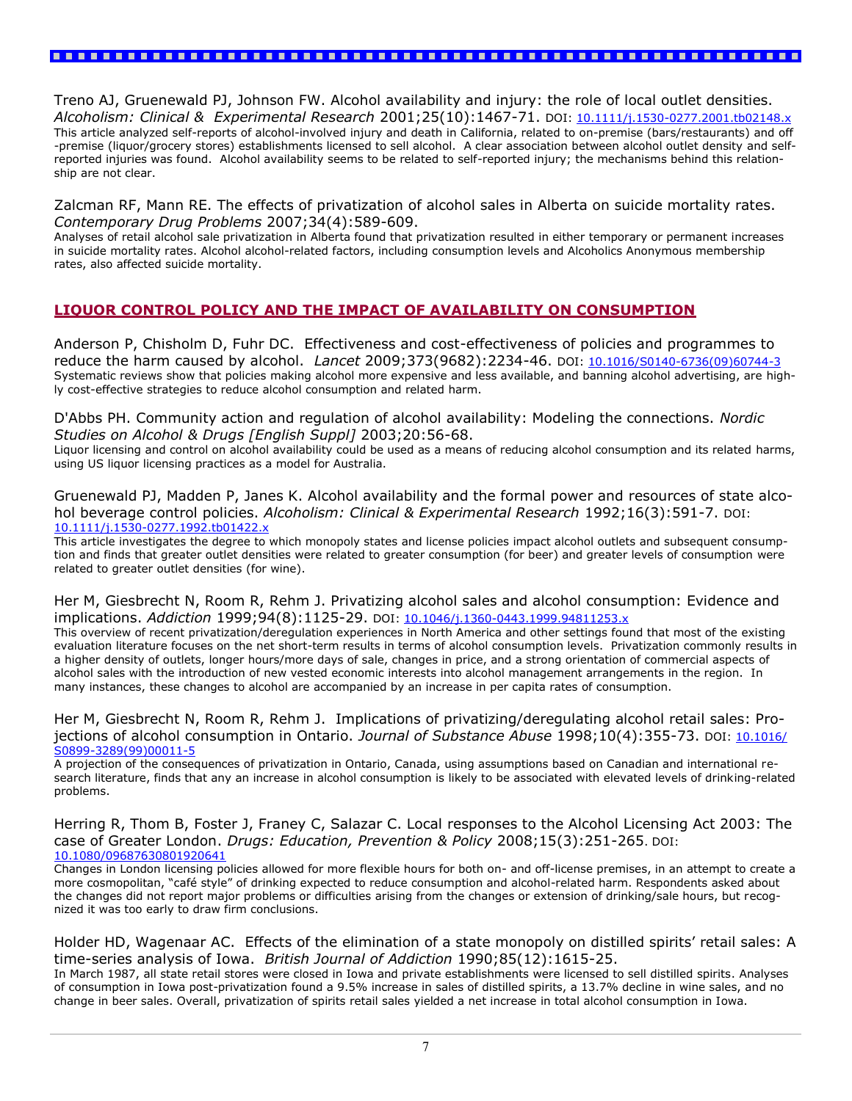Treno AJ, Gruenewald PJ, Johnson FW. Alcohol availability and injury: the role of local outlet densities. *Alcoholism: Clinical & Experimental Research* 2001;25(10):1467-71. DOI: [10.1111/j.1530-0277.2001.tb02148.x](http://dx.doi.org/10.1111/j.1530-0277.2001.tb02148.x) This article analyzed self-reports of alcohol-involved injury and death in California, related to on-premise (bars/restaurants) and off -premise (liquor/grocery stores) establishments licensed to sell alcohol. A clear association between alcohol outlet density and selfreported injuries was found. Alcohol availability seems to be related to self-reported injury; the mechanisms behind this relationship are not clear.

#### Zalcman RF, Mann RE. The effects of privatization of alcohol sales in Alberta on suicide mortality rates. *Contemporary Drug Problems* 2007;34(4):589-609.

Analyses of retail alcohol sale privatization in Alberta found that privatization resulted in either temporary or permanent increases in suicide mortality rates. Alcohol alcohol-related factors, including consumption levels and Alcoholics Anonymous membership rates, also affected suicide mortality.

# **LIQUOR CONTROL POLICY AND THE IMPACT OF AVAILABILITY ON CONSUMPTION**

Anderson P, Chisholm D, Fuhr DC. Effectiveness and cost-effectiveness of policies and programmes to reduce the harm caused by alcohol. *Lancet* 2009;373(9682):2234-46. DOI: [10.1016/S0140-6736\(09\)60744-3](http://dx.doi.org/10.1016/S0140-6736%2809%2960744-3) Systematic reviews show that policies making alcohol more expensive and less available, and banning alcohol advertising, are highly cost-effective strategies to reduce alcohol consumption and related harm.

D'Abbs PH. Community action and regulation of alcohol availability: Modeling the connections. *Nordic Studies on Alcohol & Drugs [English Suppl]* 2003;20:56-68.

Liquor licensing and control on alcohol availability could be used as a means of reducing alcohol consumption and its related harms, using US liquor licensing practices as a model for Australia.

#### Gruenewald PJ, Madden P, Janes K. Alcohol availability and the formal power and resources of state alcohol beverage control policies. *Alcoholism: Clinical & Experimental Research* 1992;16(3):591-7. DOI: [10.1111/j.1530-0277.1992.tb01422.x](http://dx.doi.org/10.1111/j.1530-0277.1992.tb01422.x)

This article investigates the degree to which monopoly states and license policies impact alcohol outlets and subsequent consumption and finds that greater outlet densities were related to greater consumption (for beer) and greater levels of consumption were related to greater outlet densities (for wine).

Her M, Giesbrecht N, Room R, Rehm J. Privatizing alcohol sales and alcohol consumption: Evidence and implications. *Addiction* 1999;94(8):1125-29. DOI: [10.1046/j.1360-0443.1999.94811253.x](http://dx.doi.org/10.1046/j.1360-0443.1999.94811253.x)

This overview of recent privatization/deregulation experiences in North America and other settings found that most of the existing evaluation literature focuses on the net short-term results in terms of alcohol consumption levels. Privatization commonly results in a higher density of outlets, longer hours/more days of sale, changes in price, and a strong orientation of commercial aspects of alcohol sales with the introduction of new vested economic interests into alcohol management arrangements in the region. In many instances, these changes to alcohol are accompanied by an increase in per capita rates of consumption.

Her M, Giesbrecht N, Room R, Rehm J. Implications of privatizing/deregulating alcohol retail sales: Projections of alcohol consumption in Ontario. *Journal of Substance Abuse* 1998;10(4):355-73. DOI: [10.1016/](http://dx.doi.org/10.1016/S0899-3289%2899%2900011-5) [S0899-3289\(99\)00011-5](http://dx.doi.org/10.1016/S0899-3289%2899%2900011-5)

A projection of the consequences of privatization in Ontario, Canada, using assumptions based on Canadian and international research literature, finds that any an increase in alcohol consumption is likely to be associated with elevated levels of drinking-related problems.

Herring R, Thom B, Foster J, Franey C, Salazar C. Local responses to the Alcohol Licensing Act 2003: The case of Greater London. *Drugs: Education, Prevention & Policy* 2008;15(3):251-265. DOI: [10.1080/09687630801920641](http://dx.doi.org/10.1080/09687630801920641)

Changes in London licensing policies allowed for more flexible hours for both on- and off-license premises, in an attempt to create a more cosmopolitan, "café style" of drinking expected to reduce consumption and alcohol-related harm. Respondents asked about the changes did not report major problems or difficulties arising from the changes or extension of drinking/sale hours, but recognized it was too early to draw firm conclusions.

#### Holder HD, Wagenaar AC. Effects of the elimination of a state monopoly on distilled spirits' retail sales: A time-series analysis of Iowa. *British Journal of Addiction* 1990;85(12):1615-25.

In March 1987, all state retail stores were closed in Iowa and private establishments were licensed to sell distilled spirits. Analyses of consumption in Iowa post-privatization found a 9.5% increase in sales of distilled spirits, a 13.7% decline in wine sales, and no change in beer sales. Overall, privatization of spirits retail sales yielded a net increase in total alcohol consumption in Iowa.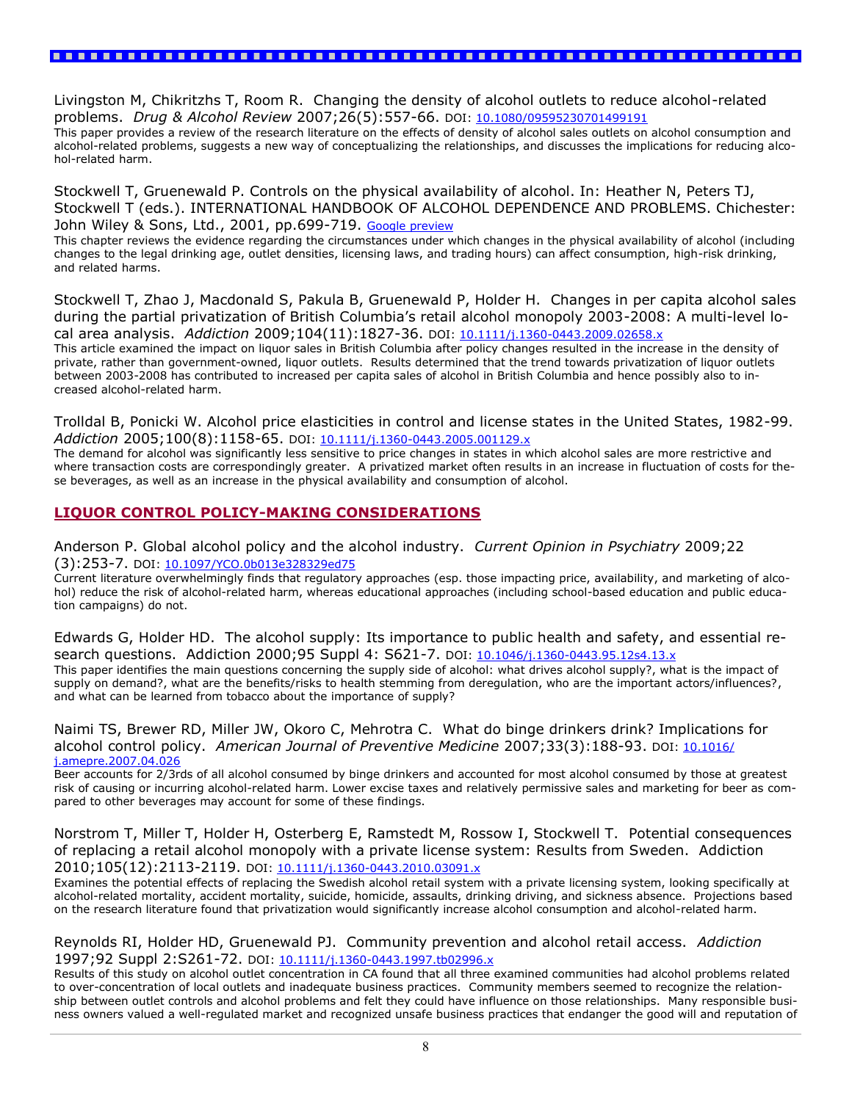Livingston M, Chikritzhs T, Room R. Changing the density of alcohol outlets to reduce alcohol-related problems. *Drug & Alcohol Review* 2007;26(5):557-66. DOI: [10.1080/09595230701499191](http://dx.doi.org/10.1080/09595230701499191)

This paper provides a review of the research literature on the effects of density of alcohol sales outlets on alcohol consumption and alcohol-related problems, suggests a new way of conceptualizing the relationships, and discusses the implications for reducing alcohol-related harm.

Stockwell T, Gruenewald P. Controls on the physical availability of alcohol. In: Heather N, Peters TJ, Stockwell T (eds.). INTERNATIONAL HANDBOOK OF ALCOHOL DEPENDENCE AND PROBLEMS. Chichester: John Wiley & Sons, Ltd., 2001, pp.699-719. [Google preview](http://books.google.com/books?id=RAnbAAAAMAAJ&q=INTERNATIONAL+HANDBOOK+OF+ALCOHOL+DEPENDENCE+AND+PROBLEMS&dq=INTERNATIONAL+HANDBOOK+OF+ALCOHOL+DEPENDENCE+AND+PROBLEMS&hl=en&ei=J7pETLmCLYjEsAOA4tmMDQ&sa=X&oi=book_result&ct=result&resnum=1&ved=0CCwQ6AEwAA)

This chapter reviews the evidence regarding the circumstances under which changes in the physical availability of alcohol (including changes to the legal drinking age, outlet densities, licensing laws, and trading hours) can affect consumption, high-risk drinking, and related harms.

Stockwell T, Zhao J, Macdonald S, Pakula B, Gruenewald P, Holder H. Changes in per capita alcohol sales during the partial privatization of British Columbia's retail alcohol monopoly 2003-2008: A multi-level local area analysis. *Addiction* 2009;104(11):1827-36. DOI: [10.1111/j.1360-0443.2009.02658.x](http://dx.doi.org/10.1111/j.1360-0443.2009.02658.x)

This article examined the impact on liquor sales in British Columbia after policy changes resulted in the increase in the density of private, rather than government-owned, liquor outlets. Results determined that the trend towards privatization of liquor outlets between 2003-2008 has contributed to increased per capita sales of alcohol in British Columbia and hence possibly also to increased alcohol-related harm.

Trolldal B, Ponicki W. Alcohol price elasticities in control and license states in the United States, 1982-99. *Addiction* 2005;100(8):1158-65. DOI: [10.1111/j.1360-0443.2005.001129.x](http://dx.doi.org/10.1111/j.1360-0443.2005.001129.x)

The demand for alcohol was significantly less sensitive to price changes in states in which alcohol sales are more restrictive and where transaction costs are correspondingly greater. A privatized market often results in an increase in fluctuation of costs for these beverages, as well as an increase in the physical availability and consumption of alcohol.

#### **LIQUOR CONTROL POLICY-MAKING CONSIDERATIONS**

Anderson P. Global alcohol policy and the alcohol industry. *Current Opinion in Psychiatry* 2009;22 (3):253-7. DOI: [10.1097/YCO.0b013e328329ed75](http://dx.doi.org/10.1097/YCO.0b013e328329ed75)

Current literature overwhelmingly finds that regulatory approaches (esp. those impacting price, availability, and marketing of alcohol) reduce the risk of alcohol-related harm, whereas educational approaches (including school-based education and public education campaigns) do not.

Edwards G, Holder HD. The alcohol supply: Its importance to public health and safety, and essential re-search questions. Addiction 2000;95 Suppl 4: S621-7. DOI: [10.1046/j.1360-0443.95.12s4.13.x](http://dx.doi.org/10.1046/j.1360-0443.95.12s4.13.x) This paper identifies the main questions concerning the supply side of alcohol: what drives alcohol supply?, what is the impact of supply on demand?, what are the benefits/risks to health stemming from deregulation, who are the important actors/influences?, and what can be learned from tobacco about the importance of supply?

Naimi TS, Brewer RD, Miller JW, Okoro C, Mehrotra C. What do binge drinkers drink? Implications for alcohol control policy. *American Journal of Preventive Medicine* 2007;33(3):188-93. DOI: [10.1016/](http://dx.doi.org/10.1016/j.amepre.2007.04.026) [j.amepre.2007.04.026](http://dx.doi.org/10.1016/j.amepre.2007.04.026)

Beer accounts for 2/3rds of all alcohol consumed by binge drinkers and accounted for most alcohol consumed by those at greatest risk of causing or incurring alcohol-related harm. Lower excise taxes and relatively permissive sales and marketing for beer as compared to other beverages may account for some of these findings.

Norstrom T, Miller T, Holder H, Osterberg E, Ramstedt M, Rossow I, Stockwell T. Potential consequences of replacing a retail alcohol monopoly with a private license system: Results from Sweden. Addiction 2010;105(12):2113-2119. DOI: [10.1111/j.1360-0443.2010.03091.x](http://dx.doi.org/10.1111/j.1360-0443.2010.03091.x)

Examines the potential effects of replacing the Swedish alcohol retail system with a private licensing system, looking specifically at alcohol-related mortality, accident mortality, suicide, homicide, assaults, drinking driving, and sickness absence. Projections based on the research literature found that privatization would significantly increase alcohol consumption and alcohol-related harm.

Reynolds RI, Holder HD, Gruenewald PJ. Community prevention and alcohol retail access. *Addiction* 1997;92 Suppl 2:S261-72. DOI: [10.1111/j.1360-0443.1997.tb02996.x](http://dx.doi.org/10.1111/j.1360-0443.1997.tb02996.x)

Results of this study on alcohol outlet concentration in CA found that all three examined communities had alcohol problems related to over-concentration of local outlets and inadequate business practices. Community members seemed to recognize the relationship between outlet controls and alcohol problems and felt they could have influence on those relationships. Many responsible business owners valued a well-regulated market and recognized unsafe business practices that endanger the good will and reputation of